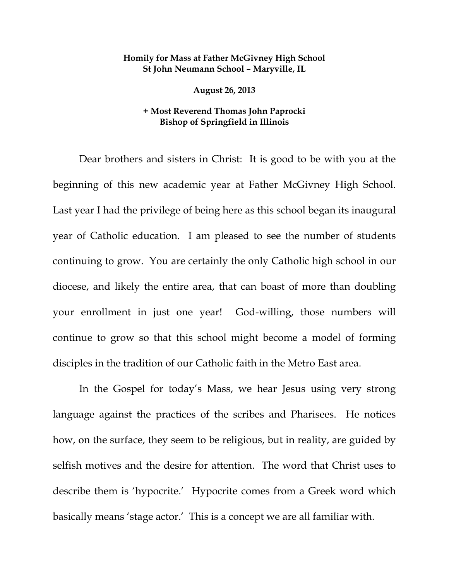## **Homily for Mass at Father McGivney High School St John Neumann School – Maryville, IL**

**August 26, 2013** 

## **+ Most Reverend Thomas John Paprocki Bishop of Springfield in Illinois**

 Dear brothers and sisters in Christ: It is good to be with you at the beginning of this new academic year at Father McGivney High School. Last year I had the privilege of being here as this school began its inaugural year of Catholic education. I am pleased to see the number of students continuing to grow. You are certainly the only Catholic high school in our diocese, and likely the entire area, that can boast of more than doubling your enrollment in just one year! God-willing, those numbers will continue to grow so that this school might become a model of forming disciples in the tradition of our Catholic faith in the Metro East area.

 In the Gospel for today's Mass, we hear Jesus using very strong language against the practices of the scribes and Pharisees. He notices how, on the surface, they seem to be religious, but in reality, are guided by selfish motives and the desire for attention. The word that Christ uses to describe them is 'hypocrite.' Hypocrite comes from a Greek word which basically means 'stage actor.' This is a concept we are all familiar with.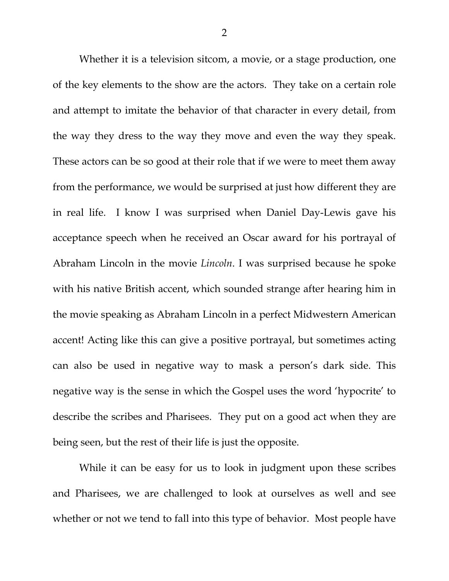Whether it is a television sitcom, a movie, or a stage production, one of the key elements to the show are the actors. They take on a certain role and attempt to imitate the behavior of that character in every detail, from the way they dress to the way they move and even the way they speak. These actors can be so good at their role that if we were to meet them away from the performance, we would be surprised at just how different they are in real life. I know I was surprised when Daniel Day-Lewis gave his acceptance speech when he received an Oscar award for his portrayal of Abraham Lincoln in the movie *Lincoln*. I was surprised because he spoke with his native British accent, which sounded strange after hearing him in the movie speaking as Abraham Lincoln in a perfect Midwestern American accent! Acting like this can give a positive portrayal, but sometimes acting can also be used in negative way to mask a person's dark side. This negative way is the sense in which the Gospel uses the word 'hypocrite' to describe the scribes and Pharisees. They put on a good act when they are being seen, but the rest of their life is just the opposite.

 While it can be easy for us to look in judgment upon these scribes and Pharisees, we are challenged to look at ourselves as well and see whether or not we tend to fall into this type of behavior. Most people have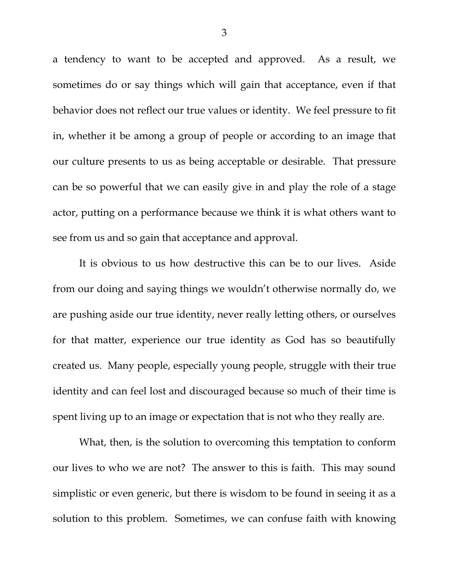a tendency to want to be accepted and approved. As a result, we sometimes do or say things which will gain that acceptance, even if that behavior does not reflect our true values or identity. We feel pressure to fit in, whether it be among a group of people or according to an image that our culture presents to us as being acceptable or desirable. That pressure can be so powerful that we can easily give in and play the role of a stage actor, putting on a performance because we think it is what others want to see from us and so gain that acceptance and approval.

 It is obvious to us how destructive this can be to our lives. Aside from our doing and saying things we wouldn't otherwise normally do, we are pushing aside our true identity, never really letting others, or ourselves for that matter, experience our true identity as God has so beautifully created us. Many people, especially young people, struggle with their true identity and can feel lost and discouraged because so much of their time is spent living up to an image or expectation that is not who they really are.

What, then, is the solution to overcoming this temptation to conform our lives to who we are not? The answer to this is faith. This may sound simplistic or even generic, but there is wisdom to be found in seeing it as a solution to this problem. Sometimes, we can confuse faith with knowing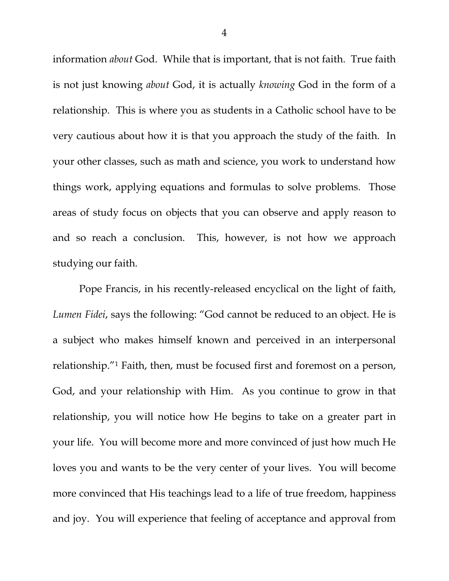information *about* God. While that is important, that is not faith. True faith is not just knowing *about* God, it is actually *knowing* God in the form of a relationship. This is where you as students in a Catholic school have to be very cautious about how it is that you approach the study of the faith. In your other classes, such as math and science, you work to understand how things work, applying equations and formulas to solve problems. Those areas of study focus on objects that you can observe and apply reason to and so reach a conclusion. This, however, is not how we approach studying our faith.

Pope Francis, in his recently-released encyclical on the light of faith, *Lumen Fidei*, says the following: "God cannot be reduced to an object. He is a subject who makes himself known and perceived in an interpersonal relationship."1 Faith, then, must be focused first and foremost on a person, God, and your relationship with Him. As you continue to grow in that relationship, you will notice how He begins to take on a greater part in your life. You will become more and more convinced of just how much He loves you and wants to be the very center of your lives. You will become more convinced that His teachings lead to a life of true freedom, happiness and joy. You will experience that feeling of acceptance and approval from